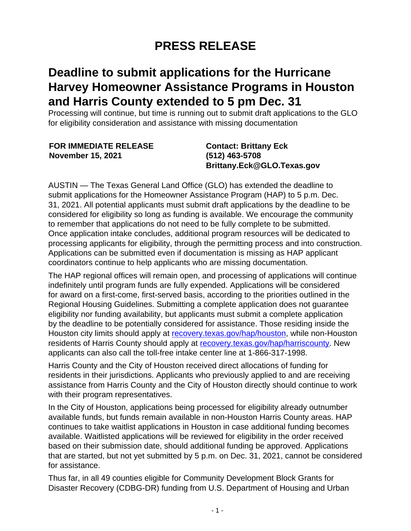## **PRESS RELEASE**

## **Deadline to submit applications for the Hurricane Harvey Homeowner Assistance Programs in Houston and Harris County extended to 5 pm Dec. 31**

Processing will continue, but time is running out to submit draft applications to the GLO for eligibility consideration and assistance with missing documentation

| <b>FOR IMMEDIATE RELEASE</b> | <b>Contact: Brittany Eck</b> |
|------------------------------|------------------------------|
| <b>November 15, 2021</b>     | $(512)$ 463-5708             |
|                              | Brittany.Eck@GLO.Texas.gov   |

AUSTIN — The Texas General Land Office (GLO) has extended the deadline to submit applications for the Homeowner Assistance Program (HAP) to 5 p.m. Dec. 31, 2021. All potential applicants must submit draft applications by the deadline to be considered for eligibility so long as funding is available. We encourage the community to remember that applications do not need to be fully complete to be submitted. Once application intake concludes, additional program resources will be dedicated to processing applicants for eligibility, through the permitting process and into construction. Applications can be submitted even if documentation is missing as HAP applicant coordinators continue to help applicants who are missing documentation.

The HAP regional offices will remain open, and processing of applications will continue indefinitely until program funds are fully expended. Applications will be considered for award on a first-come, first-served basis, according to the priorities outlined in the Regional Housing Guidelines. Submitting a complete application does not guarantee eligibility nor funding availability, but applicants must submit a complete application by the deadline to be potentially considered for assistance. Those residing inside the Houston city limits should apply at [recovery.texas.gov/hap/houston](https://recovery.texas.gov/hurricane-harvey/programs/homeowner-assistance/locations/houston/index.html), while non-Houston residents of Harris County should apply at [recovery.texas.gov/hap/harriscounty.](https://recovery.texas.gov/hurricane-harvey/programs/homeowner-assistance/locations/harris-county/index.html) New applicants can also call the toll-free intake center line at 1-866-317-1998.

Harris County and the City of Houston received direct allocations of funding for residents in their jurisdictions. Applicants who previously applied to and are receiving assistance from Harris County and the City of Houston directly should continue to work with their program representatives.

In the City of Houston, applications being processed for eligibility already outnumber available funds, but funds remain available in non-Houston Harris County areas. HAP continues to take waitlist applications in Houston in case additional funding becomes available. Waitlisted applications will be reviewed for eligibility in the order received based on their submission date, should additional funding be approved. Applications that are started, but not yet submitted by 5 p.m. on Dec. 31, 2021, cannot be considered for assistance.

Thus far, in all 49 counties eligible for Community Development Block Grants for Disaster Recovery (CDBG-DR) funding from U.S. Department of Housing and Urban